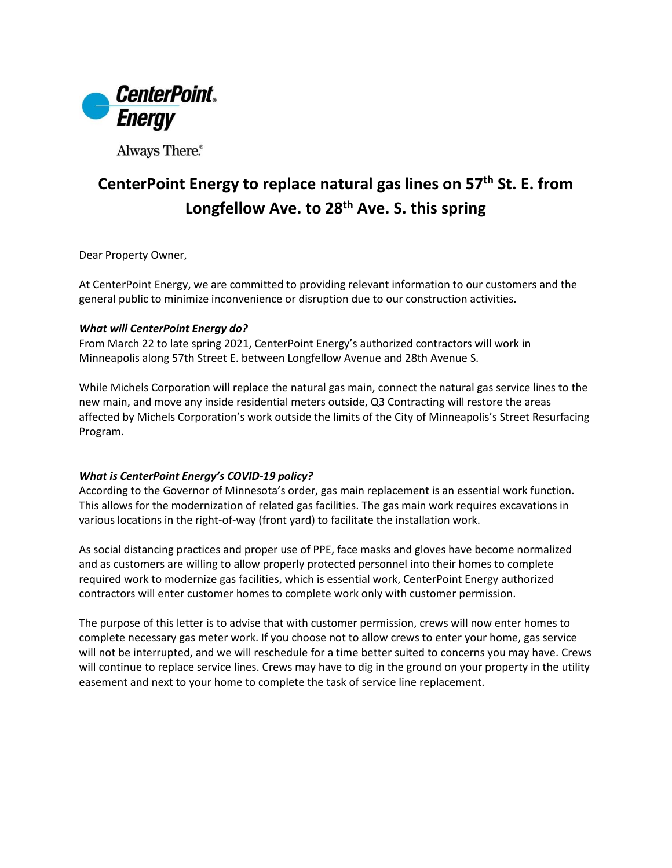

Always There.®

# **CenterPoint Energy to replace natural gas lines on 57th St. E. from Longfellow Ave. to 28th Ave. S. this spring**

Dear Property Owner,

At CenterPoint Energy, we are committed to providing relevant information to our customers and the general public to minimize inconvenience or disruption due to our construction activities.

#### *What will CenterPoint Energy do?*

From March 22 to late spring 2021, CenterPoint Energy's authorized contractors will work in Minneapolis along 57th Street E. between Longfellow Avenue and 28th Avenue S.

While Michels Corporation will replace the natural gas main, connect the natural gas service lines to the new main, and move any inside residential meters outside, Q3 Contracting will restore the areas affected by Michels Corporation's work outside the limits of the City of Minneapolis's Street Resurfacing Program.

### *What is CenterPoint Energy's COVID-19 policy?*

According to the Governor of Minnesota's order, gas main replacement is an essential work function. This allows for the modernization of related gas facilities. The gas main work requires excavations in various locations in the right-of-way (front yard) to facilitate the installation work.

As social distancing practices and proper use of PPE, face masks and gloves have become normalized and as customers are willing to allow properly protected personnel into their homes to complete required work to modernize gas facilities, which is essential work, CenterPoint Energy authorized contractors will enter customer homes to complete work only with customer permission.

The purpose of this letter is to advise that with customer permission, crews will now enter homes to complete necessary gas meter work. If you choose not to allow crews to enter your home, gas service will not be interrupted, and we will reschedule for a time better suited to concerns you may have. Crews will continue to replace service lines. Crews may have to dig in the ground on your property in the utility easement and next to your home to complete the task of service line replacement.